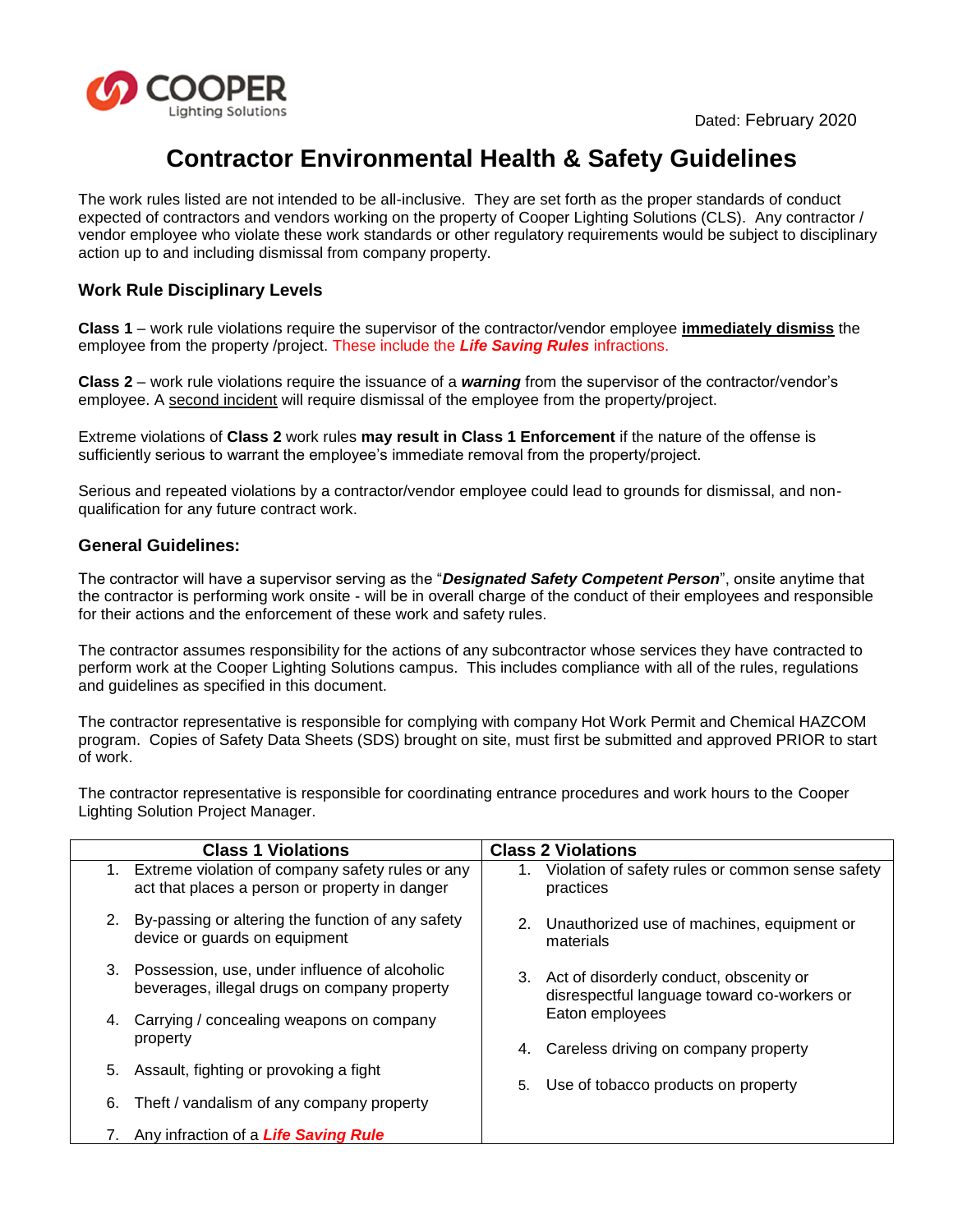

# **Contractor Environmental Health & Safety Guidelines**

The work rules listed are not intended to be all-inclusive. They are set forth as the proper standards of conduct expected of contractors and vendors working on the property of Cooper Lighting Solutions (CLS). Any contractor / vendor employee who violate these work standards or other regulatory requirements would be subject to disciplinary action up to and including dismissal from company property.

### **Work Rule Disciplinary Levels**

**Class 1** – work rule violations require the supervisor of the contractor/vendor employee **immediately dismiss** the employee from the property /project. These include the *Life Saving Rules* infractions.

**Class 2** – work rule violations require the issuance of a *warning* from the supervisor of the contractor/vendor's employee. A second incident will require dismissal of the employee from the property/project.

Extreme violations of **Class 2** work rules **may result in Class 1 Enforcement** if the nature of the offense is sufficiently serious to warrant the employee's immediate removal from the property/project.

Serious and repeated violations by a contractor/vendor employee could lead to grounds for dismissal, and nonqualification for any future contract work.

#### **General Guidelines:**

The contractor will have a supervisor serving as the "*Designated Safety Competent Person*", onsite anytime that the contractor is performing work onsite - will be in overall charge of the conduct of their employees and responsible for their actions and the enforcement of these work and safety rules.

The contractor assumes responsibility for the actions of any subcontractor whose services they have contracted to perform work at the Cooper Lighting Solutions campus. This includes compliance with all of the rules, regulations and guidelines as specified in this document.

The contractor representative is responsible for complying with company Hot Work Permit and Chemical HAZCOM program. Copies of Safety Data Sheets (SDS) brought on site, must first be submitted and approved PRIOR to start of work.

The contractor representative is responsible for coordinating entrance procedures and work hours to the Cooper Lighting Solution Project Manager.

|    | <b>Class 1 Violations</b>                                                                             | <b>Class 2 Violations</b>                                                                 |  |
|----|-------------------------------------------------------------------------------------------------------|-------------------------------------------------------------------------------------------|--|
|    | 1. Extreme violation of company safety rules or any<br>act that places a person or property in danger | Violation of safety rules or common sense safety<br>practices                             |  |
| 2. | By-passing or altering the function of any safety<br>device or guards on equipment                    | 2. Unauthorized use of machines, equipment or<br>materials                                |  |
|    | 3. Possession, use, under influence of alcoholic<br>beverages, illegal drugs on company property      | 3. Act of disorderly conduct, obscenity or<br>disrespectful language toward co-workers or |  |
| 4. | Carrying / concealing weapons on company                                                              | Eaton employees                                                                           |  |
|    | property                                                                                              | 4. Careless driving on company property                                                   |  |
|    | 5. Assault, fighting or provoking a fight                                                             |                                                                                           |  |
| 6. | Theft / vandalism of any company property                                                             | Use of tobacco products on property<br>5.                                                 |  |
|    | Any infraction of a Life Saving Rule                                                                  |                                                                                           |  |